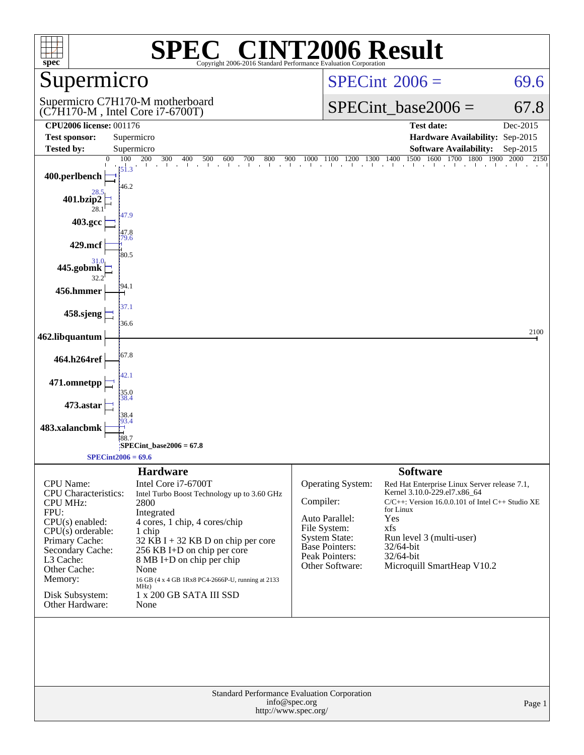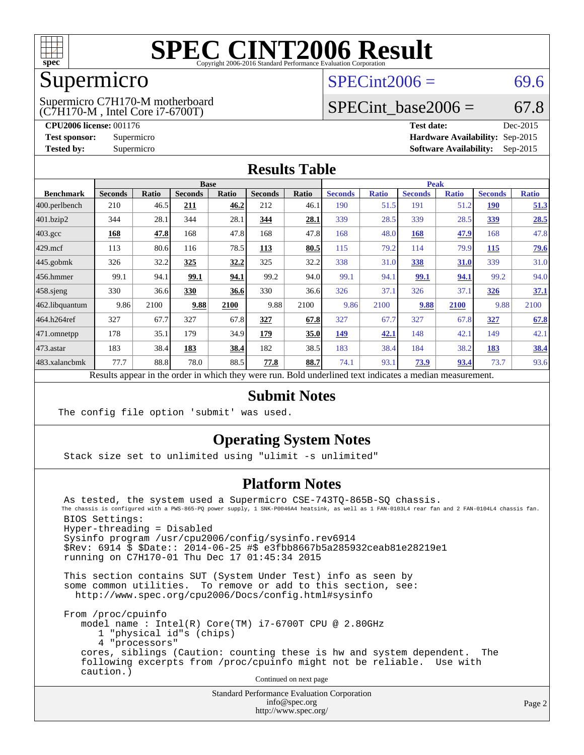

## Supermicro

(C7H170-M , Intel Core i7-6700T) Supermicro C7H170-M motherboard  $SPECint2006 = 69.6$  $SPECint2006 = 69.6$ 

### SPECint base2006 =  $67.8$

**[CPU2006 license:](http://www.spec.org/auto/cpu2006/Docs/result-fields.html#CPU2006license)** 001176 **[Test date:](http://www.spec.org/auto/cpu2006/Docs/result-fields.html#Testdate)** Dec-2015 **[Test sponsor:](http://www.spec.org/auto/cpu2006/Docs/result-fields.html#Testsponsor)** Supermicro **[Hardware Availability:](http://www.spec.org/auto/cpu2006/Docs/result-fields.html#HardwareAvailability)** Sep-2015 **[Tested by:](http://www.spec.org/auto/cpu2006/Docs/result-fields.html#Testedby)** Supermicro **Supermicro [Software Availability:](http://www.spec.org/auto/cpu2006/Docs/result-fields.html#SoftwareAvailability)** Sep-2015

### **[Results Table](http://www.spec.org/auto/cpu2006/Docs/result-fields.html#ResultsTable)**

|                                                                                                          | <b>Base</b>    |       |                |       |                |       | <b>Peak</b>    |              |                |              |                |              |
|----------------------------------------------------------------------------------------------------------|----------------|-------|----------------|-------|----------------|-------|----------------|--------------|----------------|--------------|----------------|--------------|
| <b>Benchmark</b>                                                                                         | <b>Seconds</b> | Ratio | <b>Seconds</b> | Ratio | <b>Seconds</b> | Ratio | <b>Seconds</b> | <b>Ratio</b> | <b>Seconds</b> | <b>Ratio</b> | <b>Seconds</b> | <b>Ratio</b> |
| 400.perlbench                                                                                            | 210            | 46.5  | 211            | 46.2  | 212            | 46.1  | 190            | 51.5         | 191            | 51.2         | <b>190</b>     | 51.3         |
| 401.bzip2                                                                                                | 344            | 28.1  | 344            | 28.1  | 344            | 28.1  | 339            | 28.5         | 339            | 28.5         | 339            | 28.5         |
| $403.\text{gcc}$                                                                                         | 168            | 47.8  | 168            | 47.8  | 168            | 47.8  | 168            | 48.0         | 168            | 47.9         | 168            | 47.8         |
| $429$ mcf                                                                                                | 113            | 80.6  | 116            | 78.5  | 113            | 80.5  | 115            | 79.2         | 114            | 79.9         | 115            | <b>79.6</b>  |
| $445$ .gobmk                                                                                             | 326            | 32.2  | 325            | 32.2  | 325            | 32.2  | 338            | 31.0         | 338            | 31.0         | 339            | 31.0         |
| $ 456$ .hmmer                                                                                            | 99.1           | 94.1  | 99.1           | 94.1  | 99.2           | 94.0  | 99.1           | 94.1         | 99.1           | 94.1         | 99.2           | 94.0         |
| $458$ .sjeng                                                                                             | 330            | 36.6  | 330            | 36.6  | 330            | 36.6  | 326            | 37.1         | 326            | 37.1         | 326            | 37.1         |
| 462.libquantum                                                                                           | 9.86           | 2100  | 9.88           | 2100  | 9.88           | 2100  | 9.86           | 2100         | 9.88           | 2100         | 9.88           | 2100         |
| 464.h264ref                                                                                              | 327            | 67.7  | 327            | 67.8  | 327            | 67.8  | 327            | 67.7         | 327            | 67.8         | 327            | 67.8         |
| 471.omnetpp                                                                                              | 178            | 35.1  | 179            | 34.9  | 179            | 35.0  | 149            | 42.1         | 148            | 42.1         | 149            | 42.1         |
| $ 473$ . astar                                                                                           | 183            | 38.4  | 183            | 38.4  | 182            | 38.5  | 183            | 38.4         | 184            | 38.2         | 183            | 38.4         |
| 483.xalancbmk                                                                                            | 77.7           | 88.8  | 78.0           | 88.5  | 77.8           | 88.7  | 74.1           | 93.1         | 73.9           | 93.4         | 73.7           | 93.6         |
| Results appear in the order in which they were run. Bold underlined text indicates a median measurement. |                |       |                |       |                |       |                |              |                |              |                |              |

### **[Submit Notes](http://www.spec.org/auto/cpu2006/Docs/result-fields.html#SubmitNotes)**

The config file option 'submit' was used.

### **[Operating System Notes](http://www.spec.org/auto/cpu2006/Docs/result-fields.html#OperatingSystemNotes)**

Stack size set to unlimited using "ulimit -s unlimited"

### **[Platform Notes](http://www.spec.org/auto/cpu2006/Docs/result-fields.html#PlatformNotes)**

 As tested, the system used a Supermicro CSE-743TQ-865B-SQ chassis. The chassis is configured with a PWS-865-PQ power supply, 1 SNK-P0046A4 heatsink, as well as 1 FAN-0103L4 rear fan and 2 FAN-0104L4 chassis fan. BIOS Settings: Hyper-threading = Disabled Sysinfo program /usr/cpu2006/config/sysinfo.rev6914 \$Rev: 6914 \$ \$Date:: 2014-06-25 #\$ e3fbb8667b5a285932ceab81e28219e1 running on C7H170-01 Thu Dec 17 01:45:34 2015

 This section contains SUT (System Under Test) info as seen by some common utilities. To remove or add to this section, see: <http://www.spec.org/cpu2006/Docs/config.html#sysinfo>

 From /proc/cpuinfo model name : Intel(R) Core(TM) i7-6700T CPU @ 2.80GHz 1 "physical id"s (chips) 4 "processors" cores, siblings (Caution: counting these is hw and system dependent. The following excerpts from /proc/cpuinfo might not be reliable. Use with caution.)

Continued on next page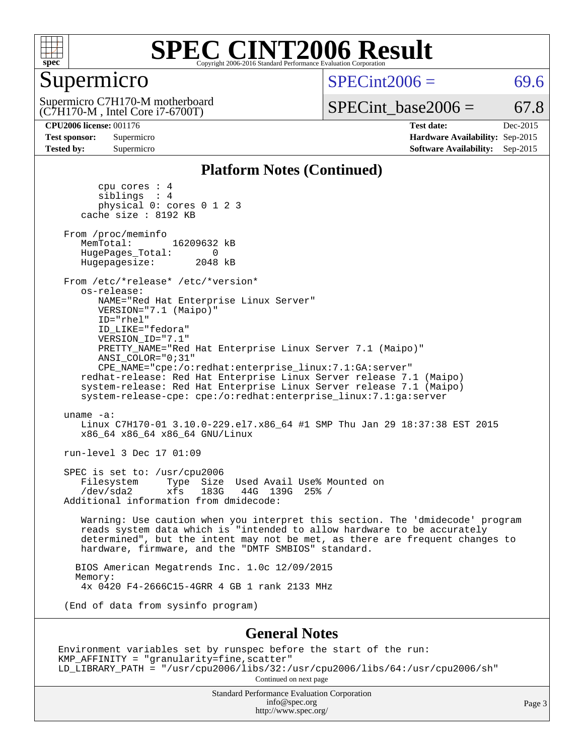

### Supermicro

 $SPECint2006 = 69.6$  $SPECint2006 = 69.6$ 

(C7H170-M , Intel Core i7-6700T) Supermicro C7H170-M motherboard  $SPECTnt\_base2006 = 67.8$ 

**[CPU2006 license:](http://www.spec.org/auto/cpu2006/Docs/result-fields.html#CPU2006license)** 001176 **[Test date:](http://www.spec.org/auto/cpu2006/Docs/result-fields.html#Testdate)** Dec-2015 **[Test sponsor:](http://www.spec.org/auto/cpu2006/Docs/result-fields.html#Testsponsor)** Supermicro **[Hardware Availability:](http://www.spec.org/auto/cpu2006/Docs/result-fields.html#HardwareAvailability)** Sep-2015 **[Tested by:](http://www.spec.org/auto/cpu2006/Docs/result-fields.html#Testedby)** Supermicro **Supermicro [Software Availability:](http://www.spec.org/auto/cpu2006/Docs/result-fields.html#SoftwareAvailability)** Sep-2015

#### **[Platform Notes \(Continued\)](http://www.spec.org/auto/cpu2006/Docs/result-fields.html#PlatformNotes)**

 cpu cores : 4 siblings : 4 physical 0: cores 0 1 2 3 cache size : 8192 KB From /proc/meminfo MemTotal: 16209632 kB HugePages\_Total: 0 Hugepagesize: 2048 kB From /etc/\*release\* /etc/\*version\* os-release: NAME="Red Hat Enterprise Linux Server" VERSION="7.1 (Maipo)" ID="rhel" ID\_LIKE="fedora" VERSION\_ID="7.1" PRETTY\_NAME="Red Hat Enterprise Linux Server 7.1 (Maipo)" ANSI\_COLOR="0;31" CPE\_NAME="cpe:/o:redhat:enterprise\_linux:7.1:GA:server" redhat-release: Red Hat Enterprise Linux Server release 7.1 (Maipo) system-release: Red Hat Enterprise Linux Server release 7.1 (Maipo) system-release-cpe: cpe:/o:redhat:enterprise\_linux:7.1:ga:server uname -a: Linux C7H170-01 3.10.0-229.el7.x86\_64 #1 SMP Thu Jan 29 18:37:38 EST 2015 x86\_64 x86\_64 x86\_64 GNU/Linux run-level 3 Dec 17 01:09 SPEC is set to: /usr/cpu2006<br>Filesystem Type Size Type Size Used Avail Use% Mounted on /dev/sda2 xfs 183G 44G 139G 25% / Additional information from dmidecode: Warning: Use caution when you interpret this section. The 'dmidecode' program reads system data which is "intended to allow hardware to be accurately determined", but the intent may not be met, as there are frequent changes to hardware, firmware, and the "DMTF SMBIOS" standard. BIOS American Megatrends Inc. 1.0c 12/09/2015 Memory: 4x 0420 F4-2666C15-4GRR 4 GB 1 rank 2133 MHz (End of data from sysinfo program) **[General Notes](http://www.spec.org/auto/cpu2006/Docs/result-fields.html#GeneralNotes)** Environment variables set by runspec before the start of the run: KMP\_AFFINITY = "granularity=fine,scatter" LD\_LIBRARY\_PATH = "/usr/cpu2006/libs/32:/usr/cpu2006/libs/64:/usr/cpu2006/sh"

Continued on next page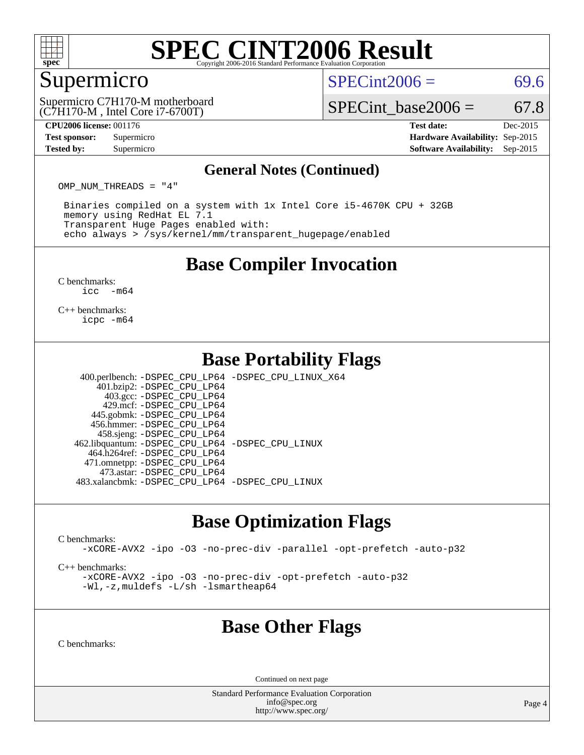

### Supermicro

 $SPECint2006 = 69.6$  $SPECint2006 = 69.6$ 

(C7H170-M , Intel Core i7-6700T) Supermicro C7H170-M motherboard SPECint base2006 =  $67.8$ 

**[CPU2006 license:](http://www.spec.org/auto/cpu2006/Docs/result-fields.html#CPU2006license)** 001176 **[Test date:](http://www.spec.org/auto/cpu2006/Docs/result-fields.html#Testdate)** Dec-2015 **[Test sponsor:](http://www.spec.org/auto/cpu2006/Docs/result-fields.html#Testsponsor)** Supermicro **[Hardware Availability:](http://www.spec.org/auto/cpu2006/Docs/result-fields.html#HardwareAvailability)** Sep-2015 **[Tested by:](http://www.spec.org/auto/cpu2006/Docs/result-fields.html#Testedby)** Supermicro **Supermicro [Software Availability:](http://www.spec.org/auto/cpu2006/Docs/result-fields.html#SoftwareAvailability)** Sep-2015

#### **[General Notes \(Continued\)](http://www.spec.org/auto/cpu2006/Docs/result-fields.html#GeneralNotes)**

OMP\_NUM\_THREADS = "4"

 Binaries compiled on a system with 1x Intel Core i5-4670K CPU + 32GB memory using RedHat EL 7.1 Transparent Huge Pages enabled with: echo always > /sys/kernel/mm/transparent\_hugepage/enabled

### **[Base Compiler Invocation](http://www.spec.org/auto/cpu2006/Docs/result-fields.html#BaseCompilerInvocation)**

[C benchmarks](http://www.spec.org/auto/cpu2006/Docs/result-fields.html#Cbenchmarks):  $\text{icc}$   $-\text{m64}$ 

[C++ benchmarks:](http://www.spec.org/auto/cpu2006/Docs/result-fields.html#CXXbenchmarks) [icpc -m64](http://www.spec.org/cpu2006/results/res2016q1/cpu2006-20151223-38487.flags.html#user_CXXbase_intel_icpc_64bit_fc66a5337ce925472a5c54ad6a0de310)

### **[Base Portability Flags](http://www.spec.org/auto/cpu2006/Docs/result-fields.html#BasePortabilityFlags)**

 400.perlbench: [-DSPEC\\_CPU\\_LP64](http://www.spec.org/cpu2006/results/res2016q1/cpu2006-20151223-38487.flags.html#b400.perlbench_basePORTABILITY_DSPEC_CPU_LP64) [-DSPEC\\_CPU\\_LINUX\\_X64](http://www.spec.org/cpu2006/results/res2016q1/cpu2006-20151223-38487.flags.html#b400.perlbench_baseCPORTABILITY_DSPEC_CPU_LINUX_X64) 401.bzip2: [-DSPEC\\_CPU\\_LP64](http://www.spec.org/cpu2006/results/res2016q1/cpu2006-20151223-38487.flags.html#suite_basePORTABILITY401_bzip2_DSPEC_CPU_LP64) 403.gcc: [-DSPEC\\_CPU\\_LP64](http://www.spec.org/cpu2006/results/res2016q1/cpu2006-20151223-38487.flags.html#suite_basePORTABILITY403_gcc_DSPEC_CPU_LP64) 429.mcf: [-DSPEC\\_CPU\\_LP64](http://www.spec.org/cpu2006/results/res2016q1/cpu2006-20151223-38487.flags.html#suite_basePORTABILITY429_mcf_DSPEC_CPU_LP64) 445.gobmk: [-DSPEC\\_CPU\\_LP64](http://www.spec.org/cpu2006/results/res2016q1/cpu2006-20151223-38487.flags.html#suite_basePORTABILITY445_gobmk_DSPEC_CPU_LP64) 456.hmmer: [-DSPEC\\_CPU\\_LP64](http://www.spec.org/cpu2006/results/res2016q1/cpu2006-20151223-38487.flags.html#suite_basePORTABILITY456_hmmer_DSPEC_CPU_LP64) 458.sjeng: [-DSPEC\\_CPU\\_LP64](http://www.spec.org/cpu2006/results/res2016q1/cpu2006-20151223-38487.flags.html#suite_basePORTABILITY458_sjeng_DSPEC_CPU_LP64) 462.libquantum: [-DSPEC\\_CPU\\_LP64](http://www.spec.org/cpu2006/results/res2016q1/cpu2006-20151223-38487.flags.html#suite_basePORTABILITY462_libquantum_DSPEC_CPU_LP64) [-DSPEC\\_CPU\\_LINUX](http://www.spec.org/cpu2006/results/res2016q1/cpu2006-20151223-38487.flags.html#b462.libquantum_baseCPORTABILITY_DSPEC_CPU_LINUX)

 464.h264ref: [-DSPEC\\_CPU\\_LP64](http://www.spec.org/cpu2006/results/res2016q1/cpu2006-20151223-38487.flags.html#suite_basePORTABILITY464_h264ref_DSPEC_CPU_LP64) 471.omnetpp: [-DSPEC\\_CPU\\_LP64](http://www.spec.org/cpu2006/results/res2016q1/cpu2006-20151223-38487.flags.html#suite_basePORTABILITY471_omnetpp_DSPEC_CPU_LP64) 473.astar: [-DSPEC\\_CPU\\_LP64](http://www.spec.org/cpu2006/results/res2016q1/cpu2006-20151223-38487.flags.html#suite_basePORTABILITY473_astar_DSPEC_CPU_LP64) 483.xalancbmk: [-DSPEC\\_CPU\\_LP64](http://www.spec.org/cpu2006/results/res2016q1/cpu2006-20151223-38487.flags.html#suite_basePORTABILITY483_xalancbmk_DSPEC_CPU_LP64) [-DSPEC\\_CPU\\_LINUX](http://www.spec.org/cpu2006/results/res2016q1/cpu2006-20151223-38487.flags.html#b483.xalancbmk_baseCXXPORTABILITY_DSPEC_CPU_LINUX)

### **[Base Optimization Flags](http://www.spec.org/auto/cpu2006/Docs/result-fields.html#BaseOptimizationFlags)**

[C benchmarks](http://www.spec.org/auto/cpu2006/Docs/result-fields.html#Cbenchmarks):

[-xCORE-AVX2](http://www.spec.org/cpu2006/results/res2016q1/cpu2006-20151223-38487.flags.html#user_CCbase_f-xAVX2_5f5fc0cbe2c9f62c816d3e45806c70d7) [-ipo](http://www.spec.org/cpu2006/results/res2016q1/cpu2006-20151223-38487.flags.html#user_CCbase_f-ipo) [-O3](http://www.spec.org/cpu2006/results/res2016q1/cpu2006-20151223-38487.flags.html#user_CCbase_f-O3) [-no-prec-div](http://www.spec.org/cpu2006/results/res2016q1/cpu2006-20151223-38487.flags.html#user_CCbase_f-no-prec-div) [-parallel](http://www.spec.org/cpu2006/results/res2016q1/cpu2006-20151223-38487.flags.html#user_CCbase_f-parallel) [-opt-prefetch](http://www.spec.org/cpu2006/results/res2016q1/cpu2006-20151223-38487.flags.html#user_CCbase_f-opt-prefetch) [-auto-p32](http://www.spec.org/cpu2006/results/res2016q1/cpu2006-20151223-38487.flags.html#user_CCbase_f-auto-p32)

[C++ benchmarks:](http://www.spec.org/auto/cpu2006/Docs/result-fields.html#CXXbenchmarks)

[-xCORE-AVX2](http://www.spec.org/cpu2006/results/res2016q1/cpu2006-20151223-38487.flags.html#user_CXXbase_f-xAVX2_5f5fc0cbe2c9f62c816d3e45806c70d7) [-ipo](http://www.spec.org/cpu2006/results/res2016q1/cpu2006-20151223-38487.flags.html#user_CXXbase_f-ipo) [-O3](http://www.spec.org/cpu2006/results/res2016q1/cpu2006-20151223-38487.flags.html#user_CXXbase_f-O3) [-no-prec-div](http://www.spec.org/cpu2006/results/res2016q1/cpu2006-20151223-38487.flags.html#user_CXXbase_f-no-prec-div) [-opt-prefetch](http://www.spec.org/cpu2006/results/res2016q1/cpu2006-20151223-38487.flags.html#user_CXXbase_f-opt-prefetch) [-auto-p32](http://www.spec.org/cpu2006/results/res2016q1/cpu2006-20151223-38487.flags.html#user_CXXbase_f-auto-p32) [-Wl,-z,muldefs](http://www.spec.org/cpu2006/results/res2016q1/cpu2006-20151223-38487.flags.html#user_CXXbase_link_force_multiple1_74079c344b956b9658436fd1b6dd3a8a) [-L/sh -lsmartheap64](http://www.spec.org/cpu2006/results/res2016q1/cpu2006-20151223-38487.flags.html#user_CXXbase_SmartHeap64_ed4ef857ce90951921efb0d91eb88472)

### **[Base Other Flags](http://www.spec.org/auto/cpu2006/Docs/result-fields.html#BaseOtherFlags)**

[C benchmarks](http://www.spec.org/auto/cpu2006/Docs/result-fields.html#Cbenchmarks):

Continued on next page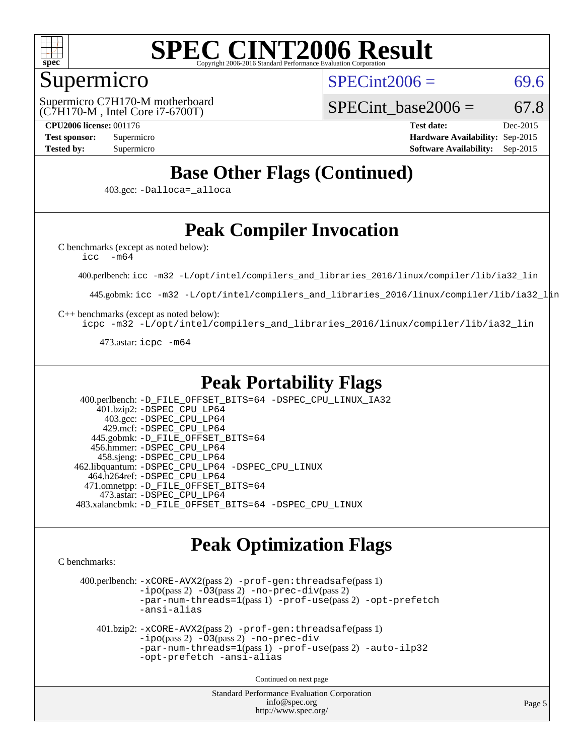

### Supermicro

 $SPECint2006 = 69.6$  $SPECint2006 = 69.6$ 

(C7H170-M , Intel Core i7-6700T) Supermicro C7H170-M motherboard SPECint base2006 =  $67.8$ 

**[CPU2006 license:](http://www.spec.org/auto/cpu2006/Docs/result-fields.html#CPU2006license)** 001176 **[Test date:](http://www.spec.org/auto/cpu2006/Docs/result-fields.html#Testdate)** Dec-2015 **[Test sponsor:](http://www.spec.org/auto/cpu2006/Docs/result-fields.html#Testsponsor)** Supermicro **[Hardware Availability:](http://www.spec.org/auto/cpu2006/Docs/result-fields.html#HardwareAvailability)** Sep-2015 **[Tested by:](http://www.spec.org/auto/cpu2006/Docs/result-fields.html#Testedby)** Supermicro **Supermicro [Software Availability:](http://www.spec.org/auto/cpu2006/Docs/result-fields.html#SoftwareAvailability)** Sep-2015

### **[Base Other Flags \(Continued\)](http://www.spec.org/auto/cpu2006/Docs/result-fields.html#BaseOtherFlags)**

403.gcc: [-Dalloca=\\_alloca](http://www.spec.org/cpu2006/results/res2016q1/cpu2006-20151223-38487.flags.html#b403.gcc_baseEXTRA_CFLAGS_Dalloca_be3056838c12de2578596ca5467af7f3)

## **[Peak Compiler Invocation](http://www.spec.org/auto/cpu2006/Docs/result-fields.html#PeakCompilerInvocation)**

[C benchmarks \(except as noted below\)](http://www.spec.org/auto/cpu2006/Docs/result-fields.html#Cbenchmarksexceptasnotedbelow):

[icc -m64](http://www.spec.org/cpu2006/results/res2016q1/cpu2006-20151223-38487.flags.html#user_CCpeak_intel_icc_64bit_f346026e86af2a669e726fe758c88044)

400.perlbench: [icc -m32 -L/opt/intel/compilers\\_and\\_libraries\\_2016/linux/compiler/lib/ia32\\_lin](http://www.spec.org/cpu2006/results/res2016q1/cpu2006-20151223-38487.flags.html#user_peakCCLD400_perlbench_intel_icc_e10256ba5924b668798078a321b0cb3f)

445.gobmk: [icc -m32 -L/opt/intel/compilers\\_and\\_libraries\\_2016/linux/compiler/lib/ia32\\_lin](http://www.spec.org/cpu2006/results/res2016q1/cpu2006-20151223-38487.flags.html#user_peakCCLD445_gobmk_intel_icc_e10256ba5924b668798078a321b0cb3f)

[C++ benchmarks \(except as noted below\):](http://www.spec.org/auto/cpu2006/Docs/result-fields.html#CXXbenchmarksexceptasnotedbelow)

[icpc -m32 -L/opt/intel/compilers\\_and\\_libraries\\_2016/linux/compiler/lib/ia32\\_lin](http://www.spec.org/cpu2006/results/res2016q1/cpu2006-20151223-38487.flags.html#user_CXXpeak_intel_icpc_b4f50a394bdb4597aa5879c16bc3f5c5)

473.astar: [icpc -m64](http://www.spec.org/cpu2006/results/res2016q1/cpu2006-20151223-38487.flags.html#user_peakCXXLD473_astar_intel_icpc_64bit_fc66a5337ce925472a5c54ad6a0de310)

### **[Peak Portability Flags](http://www.spec.org/auto/cpu2006/Docs/result-fields.html#PeakPortabilityFlags)**

 400.perlbench: [-D\\_FILE\\_OFFSET\\_BITS=64](http://www.spec.org/cpu2006/results/res2016q1/cpu2006-20151223-38487.flags.html#user_peakPORTABILITY400_perlbench_file_offset_bits_64_438cf9856305ebd76870a2c6dc2689ab) [-DSPEC\\_CPU\\_LINUX\\_IA32](http://www.spec.org/cpu2006/results/res2016q1/cpu2006-20151223-38487.flags.html#b400.perlbench_peakCPORTABILITY_DSPEC_CPU_LINUX_IA32) 401.bzip2: [-DSPEC\\_CPU\\_LP64](http://www.spec.org/cpu2006/results/res2016q1/cpu2006-20151223-38487.flags.html#suite_peakPORTABILITY401_bzip2_DSPEC_CPU_LP64) 403.gcc: [-DSPEC\\_CPU\\_LP64](http://www.spec.org/cpu2006/results/res2016q1/cpu2006-20151223-38487.flags.html#suite_peakPORTABILITY403_gcc_DSPEC_CPU_LP64) 429.mcf: [-DSPEC\\_CPU\\_LP64](http://www.spec.org/cpu2006/results/res2016q1/cpu2006-20151223-38487.flags.html#suite_peakPORTABILITY429_mcf_DSPEC_CPU_LP64) 445.gobmk: [-D\\_FILE\\_OFFSET\\_BITS=64](http://www.spec.org/cpu2006/results/res2016q1/cpu2006-20151223-38487.flags.html#user_peakPORTABILITY445_gobmk_file_offset_bits_64_438cf9856305ebd76870a2c6dc2689ab) 456.hmmer: [-DSPEC\\_CPU\\_LP64](http://www.spec.org/cpu2006/results/res2016q1/cpu2006-20151223-38487.flags.html#suite_peakPORTABILITY456_hmmer_DSPEC_CPU_LP64) 458.sjeng: [-DSPEC\\_CPU\\_LP64](http://www.spec.org/cpu2006/results/res2016q1/cpu2006-20151223-38487.flags.html#suite_peakPORTABILITY458_sjeng_DSPEC_CPU_LP64) 462.libquantum: [-DSPEC\\_CPU\\_LP64](http://www.spec.org/cpu2006/results/res2016q1/cpu2006-20151223-38487.flags.html#suite_peakPORTABILITY462_libquantum_DSPEC_CPU_LP64) [-DSPEC\\_CPU\\_LINUX](http://www.spec.org/cpu2006/results/res2016q1/cpu2006-20151223-38487.flags.html#b462.libquantum_peakCPORTABILITY_DSPEC_CPU_LINUX) 464.h264ref: [-DSPEC\\_CPU\\_LP64](http://www.spec.org/cpu2006/results/res2016q1/cpu2006-20151223-38487.flags.html#suite_peakPORTABILITY464_h264ref_DSPEC_CPU_LP64) 471.omnetpp: [-D\\_FILE\\_OFFSET\\_BITS=64](http://www.spec.org/cpu2006/results/res2016q1/cpu2006-20151223-38487.flags.html#user_peakPORTABILITY471_omnetpp_file_offset_bits_64_438cf9856305ebd76870a2c6dc2689ab) 473.astar: [-DSPEC\\_CPU\\_LP64](http://www.spec.org/cpu2006/results/res2016q1/cpu2006-20151223-38487.flags.html#suite_peakPORTABILITY473_astar_DSPEC_CPU_LP64) 483.xalancbmk: [-D\\_FILE\\_OFFSET\\_BITS=64](http://www.spec.org/cpu2006/results/res2016q1/cpu2006-20151223-38487.flags.html#user_peakPORTABILITY483_xalancbmk_file_offset_bits_64_438cf9856305ebd76870a2c6dc2689ab) [-DSPEC\\_CPU\\_LINUX](http://www.spec.org/cpu2006/results/res2016q1/cpu2006-20151223-38487.flags.html#b483.xalancbmk_peakCXXPORTABILITY_DSPEC_CPU_LINUX)

### **[Peak Optimization Flags](http://www.spec.org/auto/cpu2006/Docs/result-fields.html#PeakOptimizationFlags)**

[C benchmarks](http://www.spec.org/auto/cpu2006/Docs/result-fields.html#Cbenchmarks):

 400.perlbench: [-xCORE-AVX2](http://www.spec.org/cpu2006/results/res2016q1/cpu2006-20151223-38487.flags.html#user_peakPASS2_CFLAGSPASS2_LDCFLAGS400_perlbench_f-xAVX2_5f5fc0cbe2c9f62c816d3e45806c70d7)(pass 2) [-prof-gen:threadsafe](http://www.spec.org/cpu2006/results/res2016q1/cpu2006-20151223-38487.flags.html#user_peakPASS1_CFLAGSPASS1_LDCFLAGS400_perlbench_prof_gen_21a26eb79f378b550acd7bec9fe4467a)(pass 1)  $-i\text{po}(pass 2)$  [-O3](http://www.spec.org/cpu2006/results/res2016q1/cpu2006-20151223-38487.flags.html#user_peakPASS2_CFLAGSPASS2_LDCFLAGS400_perlbench_f-O3) $(pass 2)$  [-no-prec-div](http://www.spec.org/cpu2006/results/res2016q1/cpu2006-20151223-38487.flags.html#user_peakPASS2_CFLAGSPASS2_LDCFLAGS400_perlbench_f-no-prec-div) $(pass 2)$ [-par-num-threads=1](http://www.spec.org/cpu2006/results/res2016q1/cpu2006-20151223-38487.flags.html#user_peakPASS1_CFLAGSPASS1_LDCFLAGS400_perlbench_par_num_threads_786a6ff141b4e9e90432e998842df6c2)(pass 1) [-prof-use](http://www.spec.org/cpu2006/results/res2016q1/cpu2006-20151223-38487.flags.html#user_peakPASS2_CFLAGSPASS2_LDCFLAGS400_perlbench_prof_use_bccf7792157ff70d64e32fe3e1250b55)(pass 2) [-opt-prefetch](http://www.spec.org/cpu2006/results/res2016q1/cpu2006-20151223-38487.flags.html#user_peakCOPTIMIZE400_perlbench_f-opt-prefetch) [-ansi-alias](http://www.spec.org/cpu2006/results/res2016q1/cpu2006-20151223-38487.flags.html#user_peakCOPTIMIZE400_perlbench_f-ansi-alias) 401.bzip2: [-xCORE-AVX2](http://www.spec.org/cpu2006/results/res2016q1/cpu2006-20151223-38487.flags.html#user_peakPASS2_CFLAGSPASS2_LDCFLAGS401_bzip2_f-xAVX2_5f5fc0cbe2c9f62c816d3e45806c70d7)(pass 2) [-prof-gen:threadsafe](http://www.spec.org/cpu2006/results/res2016q1/cpu2006-20151223-38487.flags.html#user_peakPASS1_CFLAGSPASS1_LDCFLAGS401_bzip2_prof_gen_21a26eb79f378b550acd7bec9fe4467a)(pass 1) [-ipo](http://www.spec.org/cpu2006/results/res2016q1/cpu2006-20151223-38487.flags.html#user_peakPASS2_CFLAGSPASS2_LDCFLAGS401_bzip2_f-ipo)(pass 2) [-O3](http://www.spec.org/cpu2006/results/res2016q1/cpu2006-20151223-38487.flags.html#user_peakPASS2_CFLAGSPASS2_LDCFLAGS401_bzip2_f-O3)(pass 2) [-no-prec-div](http://www.spec.org/cpu2006/results/res2016q1/cpu2006-20151223-38487.flags.html#user_peakCOPTIMIZEPASS2_CFLAGSPASS2_LDCFLAGS401_bzip2_f-no-prec-div) [-par-num-threads=1](http://www.spec.org/cpu2006/results/res2016q1/cpu2006-20151223-38487.flags.html#user_peakPASS1_CFLAGSPASS1_LDCFLAGS401_bzip2_par_num_threads_786a6ff141b4e9e90432e998842df6c2)(pass 1) [-prof-use](http://www.spec.org/cpu2006/results/res2016q1/cpu2006-20151223-38487.flags.html#user_peakPASS2_CFLAGSPASS2_LDCFLAGS401_bzip2_prof_use_bccf7792157ff70d64e32fe3e1250b55)(pass 2) [-auto-ilp32](http://www.spec.org/cpu2006/results/res2016q1/cpu2006-20151223-38487.flags.html#user_peakCOPTIMIZE401_bzip2_f-auto-ilp32) [-opt-prefetch](http://www.spec.org/cpu2006/results/res2016q1/cpu2006-20151223-38487.flags.html#user_peakCOPTIMIZE401_bzip2_f-opt-prefetch) [-ansi-alias](http://www.spec.org/cpu2006/results/res2016q1/cpu2006-20151223-38487.flags.html#user_peakCOPTIMIZE401_bzip2_f-ansi-alias) Continued on next page

> Standard Performance Evaluation Corporation [info@spec.org](mailto:info@spec.org) <http://www.spec.org/>

Page 5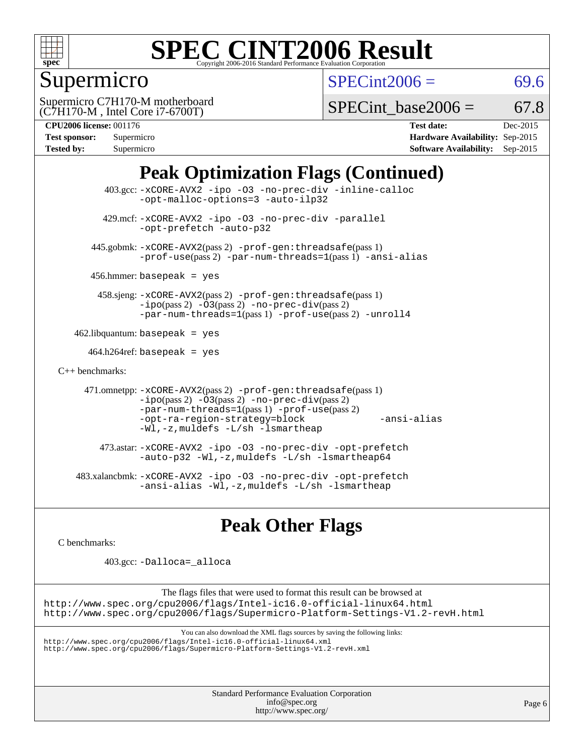

## Supermicro

 $SPECint2006 = 69.6$  $SPECint2006 = 69.6$ 

(C7H170-M , Intel Core i7-6700T) Supermicro C7H170-M motherboard

SPECint base2006 =  $67.8$ 

| <b>Test sponsor:</b> | Supermicro |
|----------------------|------------|
| <b>Tested by:</b>    | Supermicro |

**[CPU2006 license:](http://www.spec.org/auto/cpu2006/Docs/result-fields.html#CPU2006license)** 001176 **[Test date:](http://www.spec.org/auto/cpu2006/Docs/result-fields.html#Testdate)** Dec-2015 **[Hardware Availability:](http://www.spec.org/auto/cpu2006/Docs/result-fields.html#HardwareAvailability)** Sep-2015 **[Software Availability:](http://www.spec.org/auto/cpu2006/Docs/result-fields.html#SoftwareAvailability)** Sep-2015

## **[Peak Optimization Flags \(Continued\)](http://www.spec.org/auto/cpu2006/Docs/result-fields.html#PeakOptimizationFlags)**

```
 403.gcc: -xCORE-AVX2 -ipo -O3 -no-prec-div -inline-calloc
                -opt-malloc-options=3 -auto-ilp32
         429.mcf: -xCORE-AVX2 -ipo -O3 -no-prec-div -parallel
                -opt-prefetch -auto-p32
       445.gobmk: -xCORE-AVX2(pass 2) -prof-gen:threadsafe(pass 1)
                -prof-use(pass 2) -par-num-threads=1(pass 1) -ansi-alias
      456.hmmer: basepeak = yes
        458.sjeng: -xCORE-AVX2(pass 2) -prof-gen:threadsafe(pass 1)
                -i\text{po}(pass 2) -\text{O3}(pass 2)-no-prec-div(pass 2)
                -par-num-threads=1(pass 1) -prof-use(pass 2) -unroll4
   462.libquantum: basepeak = yes
     464.h264ref: basepeak = yes
C++ benchmarks: 
      471.omnetpp: -xCORE-AVX2(pass 2) -prof-gen:threadsafe(pass 1)
                -i\text{po}(pass 2) -\overline{O}3(pass 2) -no-prec\div\overline{div}(pass 2)-par-num-threads=1(pass 1) -prof-use(pass 2)
                -opt-ra-region-strategy=block -ansi-alias
                -Wl,-z,muldefs -L/sh -lsmartheap
         473.astar: -xCORE-AVX2 -ipo -O3 -no-prec-div -opt-prefetch
                -auto-p32 -Wl,-z,muldefs -L/sh -lsmartheap64
    483.xalancbmk: -xCORE-AVX2 -ipo -O3 -no-prec-div -opt-prefetch
                -ansi-alias -Wl,-z,muldefs -L/sh -lsmartheap
```
### **[Peak Other Flags](http://www.spec.org/auto/cpu2006/Docs/result-fields.html#PeakOtherFlags)**

[C benchmarks](http://www.spec.org/auto/cpu2006/Docs/result-fields.html#Cbenchmarks):

403.gcc: [-Dalloca=\\_alloca](http://www.spec.org/cpu2006/results/res2016q1/cpu2006-20151223-38487.flags.html#b403.gcc_peakEXTRA_CFLAGS_Dalloca_be3056838c12de2578596ca5467af7f3)

The flags files that were used to format this result can be browsed at <http://www.spec.org/cpu2006/flags/Intel-ic16.0-official-linux64.html> <http://www.spec.org/cpu2006/flags/Supermicro-Platform-Settings-V1.2-revH.html>

You can also download the XML flags sources by saving the following links:

<http://www.spec.org/cpu2006/flags/Intel-ic16.0-official-linux64.xml> <http://www.spec.org/cpu2006/flags/Supermicro-Platform-Settings-V1.2-revH.xml>